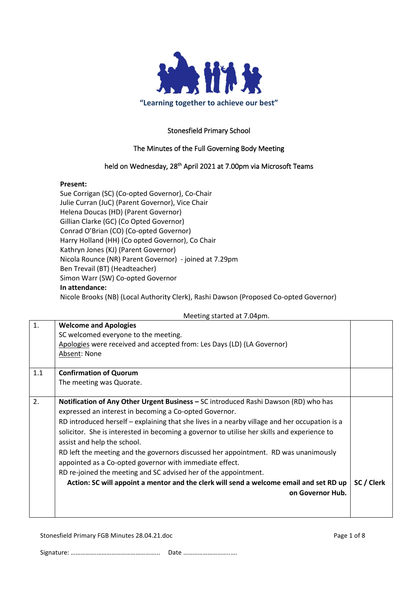

## Stonesfield Primary School

### The Minutes of the Full Governing Body Meeting

### held on Wednesday, 28<sup>th</sup> April 2021 at 7.00pm via Microsoft Teams

#### **Present:**

Sue Corrigan (SC) (Co-opted Governor), Co-Chair Julie Curran (JuC) (Parent Governor), Vice Chair Helena Doucas (HD) (Parent Governor) Gillian Clarke (GC) (Co Opted Governor) Conrad O'Brian (CO) (Co-opted Governor) Harry Holland (HH) (Co opted Governor), Co Chair Kathryn Jones (KJ) (Parent Governor) Nicola Rounce (NR) Parent Governor) - joined at 7.29pm Ben Trevail (BT) (Headteacher) Simon Warr (SW) Co-opted Governor **In attendance:** Nicole Brooks (NB) (Local Authority Clerk), Rashi Dawson (Proposed Co-opted Governor)

Meeting started at 7.04pm.

| 1.  | <b>Welcome and Apologies</b>                                                                  |            |
|-----|-----------------------------------------------------------------------------------------------|------------|
|     | SC welcomed everyone to the meeting.                                                          |            |
|     | Apologies were received and accepted from: Les Days (LD) (LA Governor)                        |            |
|     | Absent: None                                                                                  |            |
|     |                                                                                               |            |
| 1.1 | <b>Confirmation of Quorum</b>                                                                 |            |
|     | The meeting was Quorate.                                                                      |            |
|     |                                                                                               |            |
| 2.  | Notification of Any Other Urgent Business - SC introduced Rashi Dawson (RD) who has           |            |
|     | expressed an interest in becoming a Co-opted Governor.                                        |            |
|     | RD introduced herself - explaining that she lives in a nearby village and her occupation is a |            |
|     | solicitor. She is interested in becoming a governor to utilise her skills and experience to   |            |
|     | assist and help the school.                                                                   |            |
|     | RD left the meeting and the governors discussed her appointment. RD was unanimously           |            |
|     | appointed as a Co-opted governor with immediate effect.                                       |            |
|     | RD re-joined the meeting and SC advised her of the appointment.                               |            |
|     |                                                                                               |            |
|     | Action: SC will appoint a mentor and the clerk will send a welcome email and set RD up        | SC / Clerk |
|     | on Governor Hub.                                                                              |            |
|     |                                                                                               |            |
|     |                                                                                               |            |

Stonesfield Primary FGB Minutes 28.04.21.doc **Page 1 of 8** Page 1 of 8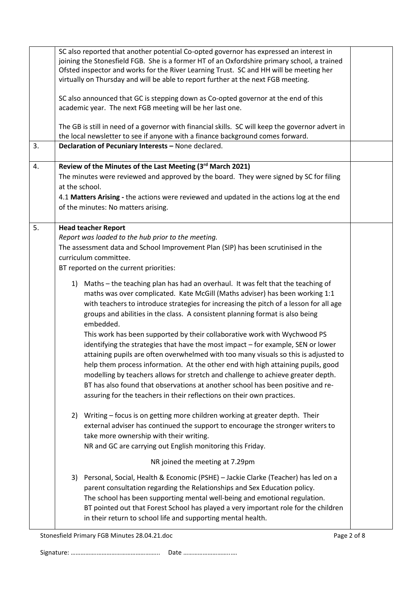| 3. | SC also reported that another potential Co-opted governor has expressed an interest in<br>joining the Stonesfield FGB. She is a former HT of an Oxfordshire primary school, a trained<br>Ofsted inspector and works for the River Learning Trust. SC and HH will be meeting her<br>virtually on Thursday and will be able to report further at the next FGB meeting.<br>SC also announced that GC is stepping down as Co-opted governor at the end of this<br>academic year. The next FGB meeting will be her last one.<br>The GB is still in need of a governor with financial skills. SC will keep the governor advert in<br>the local newsletter to see if anyone with a finance background comes forward.<br>Declaration of Pecuniary Interests - None declared.                                                                                                                                                                                    |  |
|----|---------------------------------------------------------------------------------------------------------------------------------------------------------------------------------------------------------------------------------------------------------------------------------------------------------------------------------------------------------------------------------------------------------------------------------------------------------------------------------------------------------------------------------------------------------------------------------------------------------------------------------------------------------------------------------------------------------------------------------------------------------------------------------------------------------------------------------------------------------------------------------------------------------------------------------------------------------|--|
| 4. | Review of the Minutes of the Last Meeting (3rd March 2021)                                                                                                                                                                                                                                                                                                                                                                                                                                                                                                                                                                                                                                                                                                                                                                                                                                                                                              |  |
|    | The minutes were reviewed and approved by the board. They were signed by SC for filing<br>at the school.                                                                                                                                                                                                                                                                                                                                                                                                                                                                                                                                                                                                                                                                                                                                                                                                                                                |  |
|    | 4.1 Matters Arising - the actions were reviewed and updated in the actions log at the end<br>of the minutes: No matters arising.                                                                                                                                                                                                                                                                                                                                                                                                                                                                                                                                                                                                                                                                                                                                                                                                                        |  |
| 5. | <b>Head teacher Report</b>                                                                                                                                                                                                                                                                                                                                                                                                                                                                                                                                                                                                                                                                                                                                                                                                                                                                                                                              |  |
|    | Report was loaded to the hub prior to the meeting.                                                                                                                                                                                                                                                                                                                                                                                                                                                                                                                                                                                                                                                                                                                                                                                                                                                                                                      |  |
|    | The assessment data and School Improvement Plan (SIP) has been scrutinised in the                                                                                                                                                                                                                                                                                                                                                                                                                                                                                                                                                                                                                                                                                                                                                                                                                                                                       |  |
|    | curriculum committee.                                                                                                                                                                                                                                                                                                                                                                                                                                                                                                                                                                                                                                                                                                                                                                                                                                                                                                                                   |  |
|    | BT reported on the current priorities:                                                                                                                                                                                                                                                                                                                                                                                                                                                                                                                                                                                                                                                                                                                                                                                                                                                                                                                  |  |
|    | 1) Maths - the teaching plan has had an overhaul. It was felt that the teaching of<br>maths was over complicated. Kate McGill (Maths adviser) has been working 1:1<br>with teachers to introduce strategies for increasing the pitch of a lesson for all age<br>groups and abilities in the class. A consistent planning format is also being<br>embedded.<br>This work has been supported by their collaborative work with Wychwood PS<br>identifying the strategies that have the most impact - for example, SEN or lower<br>attaining pupils are often overwhelmed with too many visuals so this is adjusted to<br>help them process information. At the other end with high attaining pupils, good<br>modelling by teachers allows for stretch and challenge to achieve greater depth.<br>BT has also found that observations at another school has been positive and re-<br>assuring for the teachers in their reflections on their own practices. |  |
|    | 2) Writing – focus is on getting more children working at greater depth. Their<br>external adviser has continued the support to encourage the stronger writers to<br>take more ownership with their writing.<br>NR and GC are carrying out English monitoring this Friday.<br>NR joined the meeting at 7.29pm                                                                                                                                                                                                                                                                                                                                                                                                                                                                                                                                                                                                                                           |  |
|    | 3) Personal, Social, Health & Economic (PSHE) - Jackie Clarke (Teacher) has led on a<br>parent consultation regarding the Relationships and Sex Education policy.<br>The school has been supporting mental well-being and emotional regulation.<br>BT pointed out that Forest School has played a very important role for the children<br>in their return to school life and supporting mental health.                                                                                                                                                                                                                                                                                                                                                                                                                                                                                                                                                  |  |

Stonesfield Primary FGB Minutes 28.04.21.doc Page 2 of 8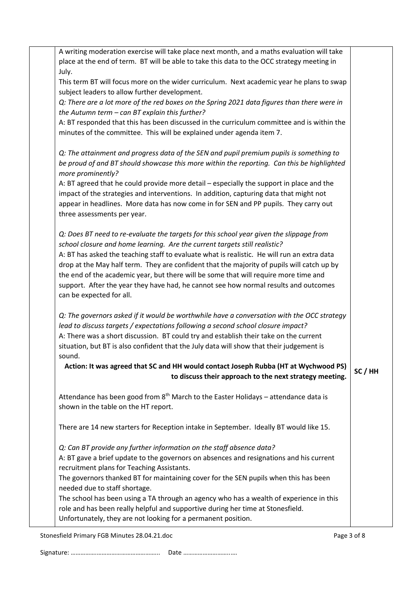| A writing moderation exercise will take place next month, and a maths evaluation will take<br>place at the end of term. BT will be able to take this data to the OCC strategy meeting in |         |
|------------------------------------------------------------------------------------------------------------------------------------------------------------------------------------------|---------|
| July.                                                                                                                                                                                    |         |
| This term BT will focus more on the wider curriculum. Next academic year he plans to swap<br>subject leaders to allow further development.                                               |         |
| Q: There are a lot more of the red boxes on the Spring 2021 data figures than there were in<br>the Autumn term - can BT explain this further?                                            |         |
| A: BT responded that this has been discussed in the curriculum committee and is within the                                                                                               |         |
| minutes of the committee. This will be explained under agenda item 7.                                                                                                                    |         |
| Q: The attainment and progress data of the SEN and pupil premium pupils is something to<br>be proud of and BT should showcase this more within the reporting. Can this be highlighted    |         |
| more prominently?                                                                                                                                                                        |         |
| A: BT agreed that he could provide more detail - especially the support in place and the                                                                                                 |         |
| impact of the strategies and interventions. In addition, capturing data that might not<br>appear in headlines. More data has now come in for SEN and PP pupils. They carry out           |         |
| three assessments per year.                                                                                                                                                              |         |
| Q: Does BT need to re-evaluate the targets for this school year given the slippage from                                                                                                  |         |
| school closure and home learning. Are the current targets still realistic?                                                                                                               |         |
| A: BT has asked the teaching staff to evaluate what is realistic. He will run an extra data                                                                                              |         |
| drop at the May half term. They are confident that the majority of pupils will catch up by                                                                                               |         |
| the end of the academic year, but there will be some that will require more time and<br>support. After the year they have had, he cannot see how normal results and outcomes             |         |
| can be expected for all.                                                                                                                                                                 |         |
|                                                                                                                                                                                          |         |
| Q: The governors asked if it would be worthwhile have a conversation with the OCC strategy<br>lead to discuss targets / expectations following a second school closure impact?           |         |
| A: There was a short discussion. BT could try and establish their take on the current                                                                                                    |         |
| situation, but BT is also confident that the July data will show that their judgement is<br>sound.                                                                                       |         |
| Action: It was agreed that SC and HH would contact Joseph Rubba (HT at Wychwood PS)<br>to discuss their approach to the next strategy meeting.                                           | SC / HH |
| Attendance has been good from $8th$ March to the Easter Holidays – attendance data is                                                                                                    |         |
| shown in the table on the HT report.                                                                                                                                                     |         |
| There are 14 new starters for Reception intake in September. Ideally BT would like 15.                                                                                                   |         |
| Q: Can BT provide any further information on the staff absence data?                                                                                                                     |         |
| A: BT gave a brief update to the governors on absences and resignations and his current                                                                                                  |         |
| recruitment plans for Teaching Assistants.<br>The governors thanked BT for maintaining cover for the SEN pupils when this has been                                                       |         |
| needed due to staff shortage.                                                                                                                                                            |         |
| The school has been using a TA through an agency who has a wealth of experience in this                                                                                                  |         |
| role and has been really helpful and supportive during her time at Stonesfield.                                                                                                          |         |
| Unfortunately, they are not looking for a permanent position.                                                                                                                            |         |

Stonesfield Primary FGB Minutes 28.04.21.doc example 3 of 8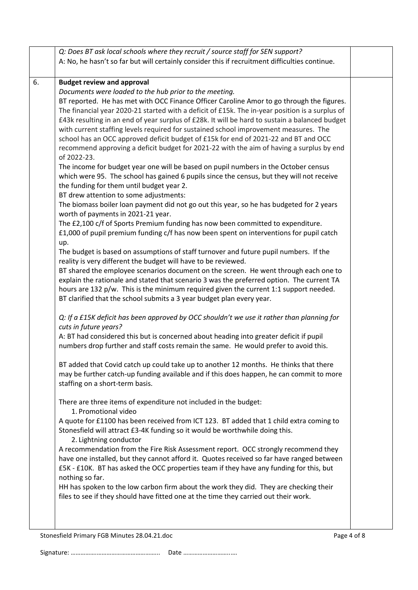|    | Q: Does BT ask local schools where they recruit / source staff for SEN support?                 |             |
|----|-------------------------------------------------------------------------------------------------|-------------|
|    | A: No, he hasn't so far but will certainly consider this if recruitment difficulties continue.  |             |
| 6. | <b>Budget review and approval</b>                                                               |             |
|    | Documents were loaded to the hub prior to the meeting.                                          |             |
|    | BT reported. He has met with OCC Finance Officer Caroline Amor to go through the figures.       |             |
|    | The financial year 2020-21 started with a deficit of £15k. The in-year position is a surplus of |             |
|    | £43k resulting in an end of year surplus of £28k. It will be hard to sustain a balanced budget  |             |
|    | with current staffing levels required for sustained school improvement measures. The            |             |
|    | school has an OCC approved deficit budget of £15k for end of 2021-22 and BT and OCC             |             |
|    | recommend approving a deficit budget for 2021-22 with the aim of having a surplus by end        |             |
|    | of 2022-23.                                                                                     |             |
|    | The income for budget year one will be based on pupil numbers in the October census             |             |
|    | which were 95. The school has gained 6 pupils since the census, but they will not receive       |             |
|    | the funding for them until budget year 2.                                                       |             |
|    | BT drew attention to some adjustments:                                                          |             |
|    | The biomass boiler loan payment did not go out this year, so he has budgeted for 2 years        |             |
|    | worth of payments in 2021-21 year.                                                              |             |
|    | The £2,100 c/f of Sports Premium funding has now been committed to expenditure.                 |             |
|    | £1,000 of pupil premium funding c/f has now been spent on interventions for pupil catch         |             |
|    | up.                                                                                             |             |
|    | The budget is based on assumptions of staff turnover and future pupil numbers. If the           |             |
|    | reality is very different the budget will have to be reviewed.                                  |             |
|    | BT shared the employee scenarios document on the screen. He went through each one to            |             |
|    | explain the rationale and stated that scenario 3 was the preferred option. The current TA       |             |
|    | hours are 132 p/w. This is the minimum required given the current 1:1 support needed.           |             |
|    | BT clarified that the school submits a 3 year budget plan every year.                           |             |
|    |                                                                                                 |             |
|    | Q: If a £15K deficit has been approved by OCC shouldn't we use it rather than planning for      |             |
|    | cuts in future years?                                                                           |             |
|    | A: BT had considered this but is concerned about heading into greater deficit if pupil          |             |
|    | numbers drop further and staff costs remain the same. He would prefer to avoid this.            |             |
|    | BT added that Covid catch up could take up to another 12 months. He thinks that there           |             |
|    | may be further catch-up funding available and if this does happen, he can commit to more        |             |
|    | staffing on a short-term basis.                                                                 |             |
|    | There are three items of expenditure not included in the budget:                                |             |
|    | 1. Promotional video                                                                            |             |
|    | A quote for £1100 has been received from ICT 123. BT added that 1 child extra coming to         |             |
|    | Stonesfield will attract £3-4K funding so it would be worthwhile doing this.                    |             |
|    | 2. Lightning conductor                                                                          |             |
|    | A recommendation from the Fire Risk Assessment report. OCC strongly recommend they              |             |
|    | have one installed, but they cannot afford it. Quotes received so far have ranged between       |             |
|    | £5K - £10K. BT has asked the OCC properties team if they have any funding for this, but         |             |
|    | nothing so far.                                                                                 |             |
|    | HH has spoken to the low carbon firm about the work they did. They are checking their           |             |
|    | files to see if they should have fitted one at the time they carried out their work.            |             |
|    |                                                                                                 |             |
|    |                                                                                                 |             |
|    | Stonesfield Primary FGB Minutes 28.04.21.doc                                                    | Page 4 of 8 |
|    |                                                                                                 |             |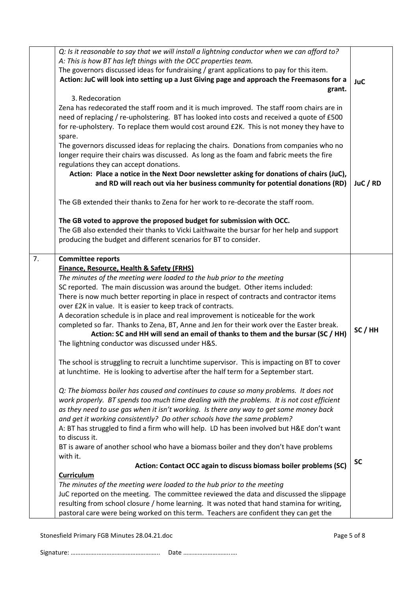| A: This is how BT has left things with the OCC properties team.<br>The governors discussed ideas for fundraising / grant applications to pay for this item.<br>Action: JuC will look into setting up a Just Giving page and approach the Freemasons for a<br><b>JuC</b><br>grant.<br>3. Redecoration<br>Zena has redecorated the staff room and it is much improved. The staff room chairs are in<br>need of replacing / re-upholstering. BT has looked into costs and received a quote of £500<br>for re-upholstery. To replace them would cost around £2K. This is not money they have to<br>spare.<br>The governors discussed ideas for replacing the chairs. Donations from companies who no<br>longer require their chairs was discussed. As long as the foam and fabric meets the fire<br>regulations they can accept donations.<br>Action: Place a notice in the Next Door newsletter asking for donations of chairs (JuC),<br>and RD will reach out via her business community for potential donations (RD)<br>JuC / RD<br>The GB extended their thanks to Zena for her work to re-decorate the staff room.<br>The GB voted to approve the proposed budget for submission with OCC.<br>The GB also extended their thanks to Vicki Laithwaite the bursar for her help and support<br>producing the budget and different scenarios for BT to consider.<br>7.<br><b>Committee reports</b><br>Finance, Resource, Health & Safety (FRHS)<br>The minutes of the meeting were loaded to the hub prior to the meeting<br>SC reported. The main discussion was around the budget. Other items included:<br>There is now much better reporting in place in respect of contracts and contractor items<br>over £2K in value. It is easier to keep track of contracts.<br>A decoration schedule is in place and real improvement is noticeable for the work<br>completed so far. Thanks to Zena, BT, Anne and Jen for their work over the Easter break.<br>SC/HH<br>Action: SC and HH will send an email of thanks to them and the bursar (SC / HH)<br>The lightning conductor was discussed under H&S.<br>The school is struggling to recruit a lunchtime supervisor. This is impacting on BT to cover<br>at lunchtime. He is looking to advertise after the half term for a September start.<br>Q: The biomass boiler has caused and continues to cause so many problems. It does not<br>work properly. BT spends too much time dealing with the problems. It is not cost efficient<br>as they need to use gas when it isn't working. Is there any way to get some money back<br>and get it working consistently? Do other schools have the same problem?<br>A: BT has struggled to find a firm who will help. LD has been involved but H&E don't want<br>to discuss it.<br>BT is aware of another school who have a biomass boiler and they don't have problems<br>with it.<br><b>SC</b><br>Action: Contact OCC again to discuss biomass boiler problems (SC)<br><b>Curriculum</b><br>The minutes of the meeting were loaded to the hub prior to the meeting<br>JuC reported on the meeting. The committee reviewed the data and discussed the slippage<br>resulting from school closure / home learning. It was noted that hand stamina for writing, | Q: Is it reasonable to say that we will install a lightning conductor when we can afford to? |  |
|-----------------------------------------------------------------------------------------------------------------------------------------------------------------------------------------------------------------------------------------------------------------------------------------------------------------------------------------------------------------------------------------------------------------------------------------------------------------------------------------------------------------------------------------------------------------------------------------------------------------------------------------------------------------------------------------------------------------------------------------------------------------------------------------------------------------------------------------------------------------------------------------------------------------------------------------------------------------------------------------------------------------------------------------------------------------------------------------------------------------------------------------------------------------------------------------------------------------------------------------------------------------------------------------------------------------------------------------------------------------------------------------------------------------------------------------------------------------------------------------------------------------------------------------------------------------------------------------------------------------------------------------------------------------------------------------------------------------------------------------------------------------------------------------------------------------------------------------------------------------------------------------------------------------------------------------------------------------------------------------------------------------------------------------------------------------------------------------------------------------------------------------------------------------------------------------------------------------------------------------------------------------------------------------------------------------------------------------------------------------------------------------------------------------------------------------------------------------------------------------------------------------------------------------------------------------------------------------------------------------------------------------------------------------------------------------------------------------------------------------------------------------------------------------------------------------------------------------------------------------------------------------------------------------------------------------------------------------------------------------------------------------------------------------------------------------------------------------------------------------------------------------------------------------------------------------------------------------------------------------------------|----------------------------------------------------------------------------------------------|--|
|                                                                                                                                                                                                                                                                                                                                                                                                                                                                                                                                                                                                                                                                                                                                                                                                                                                                                                                                                                                                                                                                                                                                                                                                                                                                                                                                                                                                                                                                                                                                                                                                                                                                                                                                                                                                                                                                                                                                                                                                                                                                                                                                                                                                                                                                                                                                                                                                                                                                                                                                                                                                                                                                                                                                                                                                                                                                                                                                                                                                                                                                                                                                                                                                                                                     |                                                                                              |  |
|                                                                                                                                                                                                                                                                                                                                                                                                                                                                                                                                                                                                                                                                                                                                                                                                                                                                                                                                                                                                                                                                                                                                                                                                                                                                                                                                                                                                                                                                                                                                                                                                                                                                                                                                                                                                                                                                                                                                                                                                                                                                                                                                                                                                                                                                                                                                                                                                                                                                                                                                                                                                                                                                                                                                                                                                                                                                                                                                                                                                                                                                                                                                                                                                                                                     |                                                                                              |  |
|                                                                                                                                                                                                                                                                                                                                                                                                                                                                                                                                                                                                                                                                                                                                                                                                                                                                                                                                                                                                                                                                                                                                                                                                                                                                                                                                                                                                                                                                                                                                                                                                                                                                                                                                                                                                                                                                                                                                                                                                                                                                                                                                                                                                                                                                                                                                                                                                                                                                                                                                                                                                                                                                                                                                                                                                                                                                                                                                                                                                                                                                                                                                                                                                                                                     |                                                                                              |  |
|                                                                                                                                                                                                                                                                                                                                                                                                                                                                                                                                                                                                                                                                                                                                                                                                                                                                                                                                                                                                                                                                                                                                                                                                                                                                                                                                                                                                                                                                                                                                                                                                                                                                                                                                                                                                                                                                                                                                                                                                                                                                                                                                                                                                                                                                                                                                                                                                                                                                                                                                                                                                                                                                                                                                                                                                                                                                                                                                                                                                                                                                                                                                                                                                                                                     |                                                                                              |  |
|                                                                                                                                                                                                                                                                                                                                                                                                                                                                                                                                                                                                                                                                                                                                                                                                                                                                                                                                                                                                                                                                                                                                                                                                                                                                                                                                                                                                                                                                                                                                                                                                                                                                                                                                                                                                                                                                                                                                                                                                                                                                                                                                                                                                                                                                                                                                                                                                                                                                                                                                                                                                                                                                                                                                                                                                                                                                                                                                                                                                                                                                                                                                                                                                                                                     |                                                                                              |  |
|                                                                                                                                                                                                                                                                                                                                                                                                                                                                                                                                                                                                                                                                                                                                                                                                                                                                                                                                                                                                                                                                                                                                                                                                                                                                                                                                                                                                                                                                                                                                                                                                                                                                                                                                                                                                                                                                                                                                                                                                                                                                                                                                                                                                                                                                                                                                                                                                                                                                                                                                                                                                                                                                                                                                                                                                                                                                                                                                                                                                                                                                                                                                                                                                                                                     |                                                                                              |  |
|                                                                                                                                                                                                                                                                                                                                                                                                                                                                                                                                                                                                                                                                                                                                                                                                                                                                                                                                                                                                                                                                                                                                                                                                                                                                                                                                                                                                                                                                                                                                                                                                                                                                                                                                                                                                                                                                                                                                                                                                                                                                                                                                                                                                                                                                                                                                                                                                                                                                                                                                                                                                                                                                                                                                                                                                                                                                                                                                                                                                                                                                                                                                                                                                                                                     |                                                                                              |  |
|                                                                                                                                                                                                                                                                                                                                                                                                                                                                                                                                                                                                                                                                                                                                                                                                                                                                                                                                                                                                                                                                                                                                                                                                                                                                                                                                                                                                                                                                                                                                                                                                                                                                                                                                                                                                                                                                                                                                                                                                                                                                                                                                                                                                                                                                                                                                                                                                                                                                                                                                                                                                                                                                                                                                                                                                                                                                                                                                                                                                                                                                                                                                                                                                                                                     |                                                                                              |  |
|                                                                                                                                                                                                                                                                                                                                                                                                                                                                                                                                                                                                                                                                                                                                                                                                                                                                                                                                                                                                                                                                                                                                                                                                                                                                                                                                                                                                                                                                                                                                                                                                                                                                                                                                                                                                                                                                                                                                                                                                                                                                                                                                                                                                                                                                                                                                                                                                                                                                                                                                                                                                                                                                                                                                                                                                                                                                                                                                                                                                                                                                                                                                                                                                                                                     |                                                                                              |  |
|                                                                                                                                                                                                                                                                                                                                                                                                                                                                                                                                                                                                                                                                                                                                                                                                                                                                                                                                                                                                                                                                                                                                                                                                                                                                                                                                                                                                                                                                                                                                                                                                                                                                                                                                                                                                                                                                                                                                                                                                                                                                                                                                                                                                                                                                                                                                                                                                                                                                                                                                                                                                                                                                                                                                                                                                                                                                                                                                                                                                                                                                                                                                                                                                                                                     |                                                                                              |  |
|                                                                                                                                                                                                                                                                                                                                                                                                                                                                                                                                                                                                                                                                                                                                                                                                                                                                                                                                                                                                                                                                                                                                                                                                                                                                                                                                                                                                                                                                                                                                                                                                                                                                                                                                                                                                                                                                                                                                                                                                                                                                                                                                                                                                                                                                                                                                                                                                                                                                                                                                                                                                                                                                                                                                                                                                                                                                                                                                                                                                                                                                                                                                                                                                                                                     |                                                                                              |  |
|                                                                                                                                                                                                                                                                                                                                                                                                                                                                                                                                                                                                                                                                                                                                                                                                                                                                                                                                                                                                                                                                                                                                                                                                                                                                                                                                                                                                                                                                                                                                                                                                                                                                                                                                                                                                                                                                                                                                                                                                                                                                                                                                                                                                                                                                                                                                                                                                                                                                                                                                                                                                                                                                                                                                                                                                                                                                                                                                                                                                                                                                                                                                                                                                                                                     |                                                                                              |  |
|                                                                                                                                                                                                                                                                                                                                                                                                                                                                                                                                                                                                                                                                                                                                                                                                                                                                                                                                                                                                                                                                                                                                                                                                                                                                                                                                                                                                                                                                                                                                                                                                                                                                                                                                                                                                                                                                                                                                                                                                                                                                                                                                                                                                                                                                                                                                                                                                                                                                                                                                                                                                                                                                                                                                                                                                                                                                                                                                                                                                                                                                                                                                                                                                                                                     |                                                                                              |  |
|                                                                                                                                                                                                                                                                                                                                                                                                                                                                                                                                                                                                                                                                                                                                                                                                                                                                                                                                                                                                                                                                                                                                                                                                                                                                                                                                                                                                                                                                                                                                                                                                                                                                                                                                                                                                                                                                                                                                                                                                                                                                                                                                                                                                                                                                                                                                                                                                                                                                                                                                                                                                                                                                                                                                                                                                                                                                                                                                                                                                                                                                                                                                                                                                                                                     |                                                                                              |  |
|                                                                                                                                                                                                                                                                                                                                                                                                                                                                                                                                                                                                                                                                                                                                                                                                                                                                                                                                                                                                                                                                                                                                                                                                                                                                                                                                                                                                                                                                                                                                                                                                                                                                                                                                                                                                                                                                                                                                                                                                                                                                                                                                                                                                                                                                                                                                                                                                                                                                                                                                                                                                                                                                                                                                                                                                                                                                                                                                                                                                                                                                                                                                                                                                                                                     |                                                                                              |  |
|                                                                                                                                                                                                                                                                                                                                                                                                                                                                                                                                                                                                                                                                                                                                                                                                                                                                                                                                                                                                                                                                                                                                                                                                                                                                                                                                                                                                                                                                                                                                                                                                                                                                                                                                                                                                                                                                                                                                                                                                                                                                                                                                                                                                                                                                                                                                                                                                                                                                                                                                                                                                                                                                                                                                                                                                                                                                                                                                                                                                                                                                                                                                                                                                                                                     |                                                                                              |  |
|                                                                                                                                                                                                                                                                                                                                                                                                                                                                                                                                                                                                                                                                                                                                                                                                                                                                                                                                                                                                                                                                                                                                                                                                                                                                                                                                                                                                                                                                                                                                                                                                                                                                                                                                                                                                                                                                                                                                                                                                                                                                                                                                                                                                                                                                                                                                                                                                                                                                                                                                                                                                                                                                                                                                                                                                                                                                                                                                                                                                                                                                                                                                                                                                                                                     |                                                                                              |  |
|                                                                                                                                                                                                                                                                                                                                                                                                                                                                                                                                                                                                                                                                                                                                                                                                                                                                                                                                                                                                                                                                                                                                                                                                                                                                                                                                                                                                                                                                                                                                                                                                                                                                                                                                                                                                                                                                                                                                                                                                                                                                                                                                                                                                                                                                                                                                                                                                                                                                                                                                                                                                                                                                                                                                                                                                                                                                                                                                                                                                                                                                                                                                                                                                                                                     |                                                                                              |  |
|                                                                                                                                                                                                                                                                                                                                                                                                                                                                                                                                                                                                                                                                                                                                                                                                                                                                                                                                                                                                                                                                                                                                                                                                                                                                                                                                                                                                                                                                                                                                                                                                                                                                                                                                                                                                                                                                                                                                                                                                                                                                                                                                                                                                                                                                                                                                                                                                                                                                                                                                                                                                                                                                                                                                                                                                                                                                                                                                                                                                                                                                                                                                                                                                                                                     |                                                                                              |  |
|                                                                                                                                                                                                                                                                                                                                                                                                                                                                                                                                                                                                                                                                                                                                                                                                                                                                                                                                                                                                                                                                                                                                                                                                                                                                                                                                                                                                                                                                                                                                                                                                                                                                                                                                                                                                                                                                                                                                                                                                                                                                                                                                                                                                                                                                                                                                                                                                                                                                                                                                                                                                                                                                                                                                                                                                                                                                                                                                                                                                                                                                                                                                                                                                                                                     |                                                                                              |  |
|                                                                                                                                                                                                                                                                                                                                                                                                                                                                                                                                                                                                                                                                                                                                                                                                                                                                                                                                                                                                                                                                                                                                                                                                                                                                                                                                                                                                                                                                                                                                                                                                                                                                                                                                                                                                                                                                                                                                                                                                                                                                                                                                                                                                                                                                                                                                                                                                                                                                                                                                                                                                                                                                                                                                                                                                                                                                                                                                                                                                                                                                                                                                                                                                                                                     |                                                                                              |  |
|                                                                                                                                                                                                                                                                                                                                                                                                                                                                                                                                                                                                                                                                                                                                                                                                                                                                                                                                                                                                                                                                                                                                                                                                                                                                                                                                                                                                                                                                                                                                                                                                                                                                                                                                                                                                                                                                                                                                                                                                                                                                                                                                                                                                                                                                                                                                                                                                                                                                                                                                                                                                                                                                                                                                                                                                                                                                                                                                                                                                                                                                                                                                                                                                                                                     |                                                                                              |  |
|                                                                                                                                                                                                                                                                                                                                                                                                                                                                                                                                                                                                                                                                                                                                                                                                                                                                                                                                                                                                                                                                                                                                                                                                                                                                                                                                                                                                                                                                                                                                                                                                                                                                                                                                                                                                                                                                                                                                                                                                                                                                                                                                                                                                                                                                                                                                                                                                                                                                                                                                                                                                                                                                                                                                                                                                                                                                                                                                                                                                                                                                                                                                                                                                                                                     |                                                                                              |  |
|                                                                                                                                                                                                                                                                                                                                                                                                                                                                                                                                                                                                                                                                                                                                                                                                                                                                                                                                                                                                                                                                                                                                                                                                                                                                                                                                                                                                                                                                                                                                                                                                                                                                                                                                                                                                                                                                                                                                                                                                                                                                                                                                                                                                                                                                                                                                                                                                                                                                                                                                                                                                                                                                                                                                                                                                                                                                                                                                                                                                                                                                                                                                                                                                                                                     |                                                                                              |  |
|                                                                                                                                                                                                                                                                                                                                                                                                                                                                                                                                                                                                                                                                                                                                                                                                                                                                                                                                                                                                                                                                                                                                                                                                                                                                                                                                                                                                                                                                                                                                                                                                                                                                                                                                                                                                                                                                                                                                                                                                                                                                                                                                                                                                                                                                                                                                                                                                                                                                                                                                                                                                                                                                                                                                                                                                                                                                                                                                                                                                                                                                                                                                                                                                                                                     |                                                                                              |  |
|                                                                                                                                                                                                                                                                                                                                                                                                                                                                                                                                                                                                                                                                                                                                                                                                                                                                                                                                                                                                                                                                                                                                                                                                                                                                                                                                                                                                                                                                                                                                                                                                                                                                                                                                                                                                                                                                                                                                                                                                                                                                                                                                                                                                                                                                                                                                                                                                                                                                                                                                                                                                                                                                                                                                                                                                                                                                                                                                                                                                                                                                                                                                                                                                                                                     |                                                                                              |  |
|                                                                                                                                                                                                                                                                                                                                                                                                                                                                                                                                                                                                                                                                                                                                                                                                                                                                                                                                                                                                                                                                                                                                                                                                                                                                                                                                                                                                                                                                                                                                                                                                                                                                                                                                                                                                                                                                                                                                                                                                                                                                                                                                                                                                                                                                                                                                                                                                                                                                                                                                                                                                                                                                                                                                                                                                                                                                                                                                                                                                                                                                                                                                                                                                                                                     |                                                                                              |  |
|                                                                                                                                                                                                                                                                                                                                                                                                                                                                                                                                                                                                                                                                                                                                                                                                                                                                                                                                                                                                                                                                                                                                                                                                                                                                                                                                                                                                                                                                                                                                                                                                                                                                                                                                                                                                                                                                                                                                                                                                                                                                                                                                                                                                                                                                                                                                                                                                                                                                                                                                                                                                                                                                                                                                                                                                                                                                                                                                                                                                                                                                                                                                                                                                                                                     |                                                                                              |  |
|                                                                                                                                                                                                                                                                                                                                                                                                                                                                                                                                                                                                                                                                                                                                                                                                                                                                                                                                                                                                                                                                                                                                                                                                                                                                                                                                                                                                                                                                                                                                                                                                                                                                                                                                                                                                                                                                                                                                                                                                                                                                                                                                                                                                                                                                                                                                                                                                                                                                                                                                                                                                                                                                                                                                                                                                                                                                                                                                                                                                                                                                                                                                                                                                                                                     |                                                                                              |  |
|                                                                                                                                                                                                                                                                                                                                                                                                                                                                                                                                                                                                                                                                                                                                                                                                                                                                                                                                                                                                                                                                                                                                                                                                                                                                                                                                                                                                                                                                                                                                                                                                                                                                                                                                                                                                                                                                                                                                                                                                                                                                                                                                                                                                                                                                                                                                                                                                                                                                                                                                                                                                                                                                                                                                                                                                                                                                                                                                                                                                                                                                                                                                                                                                                                                     |                                                                                              |  |
|                                                                                                                                                                                                                                                                                                                                                                                                                                                                                                                                                                                                                                                                                                                                                                                                                                                                                                                                                                                                                                                                                                                                                                                                                                                                                                                                                                                                                                                                                                                                                                                                                                                                                                                                                                                                                                                                                                                                                                                                                                                                                                                                                                                                                                                                                                                                                                                                                                                                                                                                                                                                                                                                                                                                                                                                                                                                                                                                                                                                                                                                                                                                                                                                                                                     |                                                                                              |  |
|                                                                                                                                                                                                                                                                                                                                                                                                                                                                                                                                                                                                                                                                                                                                                                                                                                                                                                                                                                                                                                                                                                                                                                                                                                                                                                                                                                                                                                                                                                                                                                                                                                                                                                                                                                                                                                                                                                                                                                                                                                                                                                                                                                                                                                                                                                                                                                                                                                                                                                                                                                                                                                                                                                                                                                                                                                                                                                                                                                                                                                                                                                                                                                                                                                                     |                                                                                              |  |
|                                                                                                                                                                                                                                                                                                                                                                                                                                                                                                                                                                                                                                                                                                                                                                                                                                                                                                                                                                                                                                                                                                                                                                                                                                                                                                                                                                                                                                                                                                                                                                                                                                                                                                                                                                                                                                                                                                                                                                                                                                                                                                                                                                                                                                                                                                                                                                                                                                                                                                                                                                                                                                                                                                                                                                                                                                                                                                                                                                                                                                                                                                                                                                                                                                                     |                                                                                              |  |
|                                                                                                                                                                                                                                                                                                                                                                                                                                                                                                                                                                                                                                                                                                                                                                                                                                                                                                                                                                                                                                                                                                                                                                                                                                                                                                                                                                                                                                                                                                                                                                                                                                                                                                                                                                                                                                                                                                                                                                                                                                                                                                                                                                                                                                                                                                                                                                                                                                                                                                                                                                                                                                                                                                                                                                                                                                                                                                                                                                                                                                                                                                                                                                                                                                                     |                                                                                              |  |
|                                                                                                                                                                                                                                                                                                                                                                                                                                                                                                                                                                                                                                                                                                                                                                                                                                                                                                                                                                                                                                                                                                                                                                                                                                                                                                                                                                                                                                                                                                                                                                                                                                                                                                                                                                                                                                                                                                                                                                                                                                                                                                                                                                                                                                                                                                                                                                                                                                                                                                                                                                                                                                                                                                                                                                                                                                                                                                                                                                                                                                                                                                                                                                                                                                                     |                                                                                              |  |
|                                                                                                                                                                                                                                                                                                                                                                                                                                                                                                                                                                                                                                                                                                                                                                                                                                                                                                                                                                                                                                                                                                                                                                                                                                                                                                                                                                                                                                                                                                                                                                                                                                                                                                                                                                                                                                                                                                                                                                                                                                                                                                                                                                                                                                                                                                                                                                                                                                                                                                                                                                                                                                                                                                                                                                                                                                                                                                                                                                                                                                                                                                                                                                                                                                                     |                                                                                              |  |
|                                                                                                                                                                                                                                                                                                                                                                                                                                                                                                                                                                                                                                                                                                                                                                                                                                                                                                                                                                                                                                                                                                                                                                                                                                                                                                                                                                                                                                                                                                                                                                                                                                                                                                                                                                                                                                                                                                                                                                                                                                                                                                                                                                                                                                                                                                                                                                                                                                                                                                                                                                                                                                                                                                                                                                                                                                                                                                                                                                                                                                                                                                                                                                                                                                                     |                                                                                              |  |
|                                                                                                                                                                                                                                                                                                                                                                                                                                                                                                                                                                                                                                                                                                                                                                                                                                                                                                                                                                                                                                                                                                                                                                                                                                                                                                                                                                                                                                                                                                                                                                                                                                                                                                                                                                                                                                                                                                                                                                                                                                                                                                                                                                                                                                                                                                                                                                                                                                                                                                                                                                                                                                                                                                                                                                                                                                                                                                                                                                                                                                                                                                                                                                                                                                                     |                                                                                              |  |
|                                                                                                                                                                                                                                                                                                                                                                                                                                                                                                                                                                                                                                                                                                                                                                                                                                                                                                                                                                                                                                                                                                                                                                                                                                                                                                                                                                                                                                                                                                                                                                                                                                                                                                                                                                                                                                                                                                                                                                                                                                                                                                                                                                                                                                                                                                                                                                                                                                                                                                                                                                                                                                                                                                                                                                                                                                                                                                                                                                                                                                                                                                                                                                                                                                                     |                                                                                              |  |
|                                                                                                                                                                                                                                                                                                                                                                                                                                                                                                                                                                                                                                                                                                                                                                                                                                                                                                                                                                                                                                                                                                                                                                                                                                                                                                                                                                                                                                                                                                                                                                                                                                                                                                                                                                                                                                                                                                                                                                                                                                                                                                                                                                                                                                                                                                                                                                                                                                                                                                                                                                                                                                                                                                                                                                                                                                                                                                                                                                                                                                                                                                                                                                                                                                                     |                                                                                              |  |
|                                                                                                                                                                                                                                                                                                                                                                                                                                                                                                                                                                                                                                                                                                                                                                                                                                                                                                                                                                                                                                                                                                                                                                                                                                                                                                                                                                                                                                                                                                                                                                                                                                                                                                                                                                                                                                                                                                                                                                                                                                                                                                                                                                                                                                                                                                                                                                                                                                                                                                                                                                                                                                                                                                                                                                                                                                                                                                                                                                                                                                                                                                                                                                                                                                                     |                                                                                              |  |
|                                                                                                                                                                                                                                                                                                                                                                                                                                                                                                                                                                                                                                                                                                                                                                                                                                                                                                                                                                                                                                                                                                                                                                                                                                                                                                                                                                                                                                                                                                                                                                                                                                                                                                                                                                                                                                                                                                                                                                                                                                                                                                                                                                                                                                                                                                                                                                                                                                                                                                                                                                                                                                                                                                                                                                                                                                                                                                                                                                                                                                                                                                                                                                                                                                                     |                                                                                              |  |
|                                                                                                                                                                                                                                                                                                                                                                                                                                                                                                                                                                                                                                                                                                                                                                                                                                                                                                                                                                                                                                                                                                                                                                                                                                                                                                                                                                                                                                                                                                                                                                                                                                                                                                                                                                                                                                                                                                                                                                                                                                                                                                                                                                                                                                                                                                                                                                                                                                                                                                                                                                                                                                                                                                                                                                                                                                                                                                                                                                                                                                                                                                                                                                                                                                                     |                                                                                              |  |
|                                                                                                                                                                                                                                                                                                                                                                                                                                                                                                                                                                                                                                                                                                                                                                                                                                                                                                                                                                                                                                                                                                                                                                                                                                                                                                                                                                                                                                                                                                                                                                                                                                                                                                                                                                                                                                                                                                                                                                                                                                                                                                                                                                                                                                                                                                                                                                                                                                                                                                                                                                                                                                                                                                                                                                                                                                                                                                                                                                                                                                                                                                                                                                                                                                                     |                                                                                              |  |
|                                                                                                                                                                                                                                                                                                                                                                                                                                                                                                                                                                                                                                                                                                                                                                                                                                                                                                                                                                                                                                                                                                                                                                                                                                                                                                                                                                                                                                                                                                                                                                                                                                                                                                                                                                                                                                                                                                                                                                                                                                                                                                                                                                                                                                                                                                                                                                                                                                                                                                                                                                                                                                                                                                                                                                                                                                                                                                                                                                                                                                                                                                                                                                                                                                                     |                                                                                              |  |
|                                                                                                                                                                                                                                                                                                                                                                                                                                                                                                                                                                                                                                                                                                                                                                                                                                                                                                                                                                                                                                                                                                                                                                                                                                                                                                                                                                                                                                                                                                                                                                                                                                                                                                                                                                                                                                                                                                                                                                                                                                                                                                                                                                                                                                                                                                                                                                                                                                                                                                                                                                                                                                                                                                                                                                                                                                                                                                                                                                                                                                                                                                                                                                                                                                                     |                                                                                              |  |
|                                                                                                                                                                                                                                                                                                                                                                                                                                                                                                                                                                                                                                                                                                                                                                                                                                                                                                                                                                                                                                                                                                                                                                                                                                                                                                                                                                                                                                                                                                                                                                                                                                                                                                                                                                                                                                                                                                                                                                                                                                                                                                                                                                                                                                                                                                                                                                                                                                                                                                                                                                                                                                                                                                                                                                                                                                                                                                                                                                                                                                                                                                                                                                                                                                                     |                                                                                              |  |
|                                                                                                                                                                                                                                                                                                                                                                                                                                                                                                                                                                                                                                                                                                                                                                                                                                                                                                                                                                                                                                                                                                                                                                                                                                                                                                                                                                                                                                                                                                                                                                                                                                                                                                                                                                                                                                                                                                                                                                                                                                                                                                                                                                                                                                                                                                                                                                                                                                                                                                                                                                                                                                                                                                                                                                                                                                                                                                                                                                                                                                                                                                                                                                                                                                                     |                                                                                              |  |
|                                                                                                                                                                                                                                                                                                                                                                                                                                                                                                                                                                                                                                                                                                                                                                                                                                                                                                                                                                                                                                                                                                                                                                                                                                                                                                                                                                                                                                                                                                                                                                                                                                                                                                                                                                                                                                                                                                                                                                                                                                                                                                                                                                                                                                                                                                                                                                                                                                                                                                                                                                                                                                                                                                                                                                                                                                                                                                                                                                                                                                                                                                                                                                                                                                                     | pastoral care were being worked on this term. Teachers are confident they can get the        |  |

Stonesfield Primary FGB Minutes 28.04.21.doc Page 5 of 8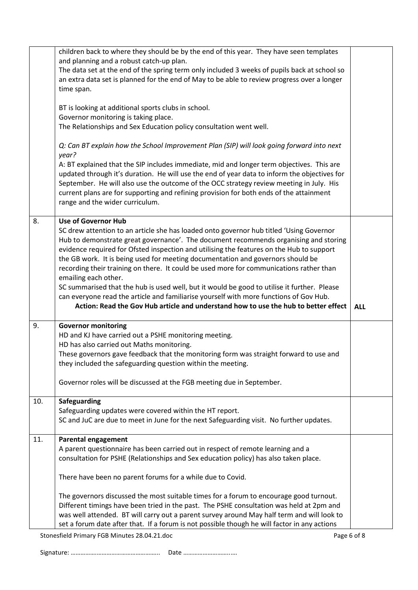|     | children back to where they should be by the end of this year. They have seen templates                                                      |             |
|-----|----------------------------------------------------------------------------------------------------------------------------------------------|-------------|
|     | and planning and a robust catch-up plan.                                                                                                     |             |
|     | The data set at the end of the spring term only included 3 weeks of pupils back at school so                                                 |             |
|     | an extra data set is planned for the end of May to be able to review progress over a longer                                                  |             |
|     | time span.                                                                                                                                   |             |
|     |                                                                                                                                              |             |
|     | BT is looking at additional sports clubs in school.                                                                                          |             |
|     | Governor monitoring is taking place.                                                                                                         |             |
|     | The Relationships and Sex Education policy consultation went well.                                                                           |             |
|     |                                                                                                                                              |             |
|     | Q: Can BT explain how the School Improvement Plan (SIP) will look going forward into next                                                    |             |
|     | year?                                                                                                                                        |             |
|     | A: BT explained that the SIP includes immediate, mid and longer term objectives. This are                                                    |             |
|     | updated through it's duration. He will use the end of year data to inform the objectives for                                                 |             |
|     | September. He will also use the outcome of the OCC strategy review meeting in July. His                                                      |             |
|     | current plans are for supporting and refining provision for both ends of the attainment                                                      |             |
|     | range and the wider curriculum.                                                                                                              |             |
|     |                                                                                                                                              |             |
| 8.  | <b>Use of Governor Hub</b>                                                                                                                   |             |
|     | SC drew attention to an article she has loaded onto governor hub titled 'Using Governor                                                      |             |
|     | Hub to demonstrate great governance'. The document recommends organising and storing                                                         |             |
|     | evidence required for Ofsted inspection and utilising the features on the Hub to support                                                     |             |
|     | the GB work. It is being used for meeting documentation and governors should be                                                              |             |
|     | recording their training on there. It could be used more for communications rather than                                                      |             |
|     | emailing each other.                                                                                                                         |             |
|     | SC summarised that the hub is used well, but it would be good to utilise it further. Please                                                  |             |
|     | can everyone read the article and familiarise yourself with more functions of Gov Hub.                                                       |             |
|     | Action: Read the Gov Hub article and understand how to use the hub to better effect                                                          | <b>ALL</b>  |
| 9.  |                                                                                                                                              |             |
|     | <b>Governor monitoring</b>                                                                                                                   |             |
|     | HD and KJ have carried out a PSHE monitoring meeting.                                                                                        |             |
|     | HD has also carried out Maths monitoring.                                                                                                    |             |
|     | These governors gave feedback that the monitoring form was straight forward to use and                                                       |             |
|     | they included the safeguarding question within the meeting.                                                                                  |             |
|     |                                                                                                                                              |             |
|     | Governor roles will be discussed at the FGB meeting due in September.                                                                        |             |
| 10. | <b>Safeguarding</b>                                                                                                                          |             |
|     | Safeguarding updates were covered within the HT report.                                                                                      |             |
|     | SC and JuC are due to meet in June for the next Safeguarding visit. No further updates.                                                      |             |
|     |                                                                                                                                              |             |
| 11. | <b>Parental engagement</b>                                                                                                                   |             |
|     | A parent questionnaire has been carried out in respect of remote learning and a                                                              |             |
|     | consultation for PSHE (Relationships and Sex education policy) has also taken place.                                                         |             |
|     |                                                                                                                                              |             |
|     | There have been no parent forums for a while due to Covid.                                                                                   |             |
|     |                                                                                                                                              |             |
|     |                                                                                                                                              |             |
|     | The governors discussed the most suitable times for a forum to encourage good turnout.                                                       |             |
|     | Different timings have been tried in the past. The PSHE consultation was held at 2pm and                                                     |             |
|     | was well attended. BT will carry out a parent survey around May half term and will look to                                                   |             |
|     | set a forum date after that. If a forum is not possible though he will factor in any actions<br>Stonesfield Primary FGB Minutes 28.04.21.doc | Page 6 of 8 |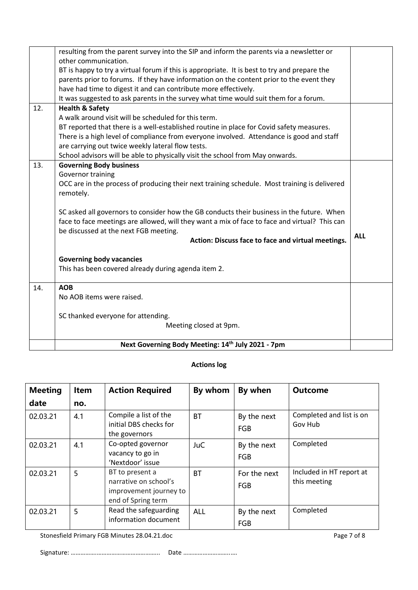|     | resulting from the parent survey into the SIP and inform the parents via a newsletter or<br>other communication. |            |
|-----|------------------------------------------------------------------------------------------------------------------|------------|
|     | BT is happy to try a virtual forum if this is appropriate. It is best to try and prepare the                     |            |
|     | parents prior to forums. If they have information on the content prior to the event they                         |            |
|     | have had time to digest it and can contribute more effectively.                                                  |            |
|     | It was suggested to ask parents in the survey what time would suit them for a forum.                             |            |
| 12. | <b>Health &amp; Safety</b>                                                                                       |            |
|     | A walk around visit will be scheduled for this term.                                                             |            |
|     | BT reported that there is a well-established routine in place for Covid safety measures.                         |            |
|     | There is a high level of compliance from everyone involved. Attendance is good and staff                         |            |
|     | are carrying out twice weekly lateral flow tests.                                                                |            |
|     | School advisors will be able to physically visit the school from May onwards.                                    |            |
| 13. | <b>Governing Body business</b>                                                                                   |            |
|     | Governor training                                                                                                |            |
|     | OCC are in the process of producing their next training schedule. Most training is delivered                     |            |
|     | remotely.                                                                                                        |            |
|     | SC asked all governors to consider how the GB conducts their business in the future. When                        |            |
|     | face to face meetings are allowed, will they want a mix of face to face and virtual? This can                    |            |
|     | be discussed at the next FGB meeting.                                                                            |            |
|     | Action: Discuss face to face and virtual meetings.                                                               | <b>ALL</b> |
|     | <b>Governing body vacancies</b>                                                                                  |            |
|     | This has been covered already during agenda item 2.                                                              |            |
| 14. | <b>AOB</b>                                                                                                       |            |
|     | No AOB items were raised.                                                                                        |            |
|     | SC thanked everyone for attending.                                                                               |            |
|     | Meeting closed at 9pm.                                                                                           |            |
|     | Next Governing Body Meeting: 14th July 2021 - 7pm                                                                |            |

# **Actions log**

| <b>Meeting</b><br>date | <b>Item</b><br>no. | <b>Action Required</b>                                                                   | By whom    | By when             | <b>Outcome</b>                           |
|------------------------|--------------------|------------------------------------------------------------------------------------------|------------|---------------------|------------------------------------------|
| 02.03.21               | 4.1                | Compile a list of the<br>initial DBS checks for<br>the governors                         | <b>BT</b>  | By the next<br>FGB  | Completed and list is on<br>Gov Hub      |
| 02.03.21               | 4.1                | Co-opted governor<br>vacancy to go in<br>'Nextdoor' issue                                | <b>JuC</b> | By the next<br>FGB  | Completed                                |
| 02.03.21               | 5                  | BT to present a<br>narrative on school's<br>improvement journey to<br>end of Spring term | BT         | For the next<br>FGB | Included in HT report at<br>this meeting |
| 02.03.21               | 5                  | Read the safeguarding<br>information document                                            | <b>ALL</b> | By the next<br>FGB  | Completed                                |

Stonesfield Primary FGB Minutes 28.04.21.doc Page 7 of 8